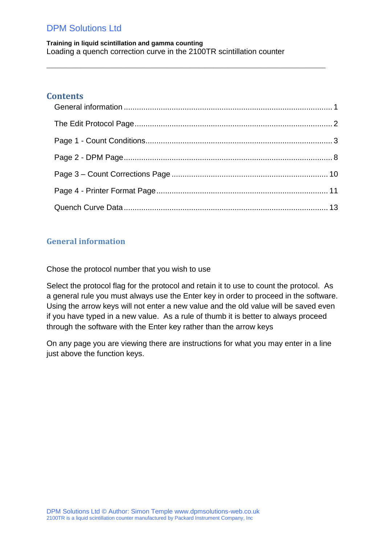**Training in liquid scintillation and gamma counting** Loading a quench correction curve in the 2100TR scintillation counter

 $\_$  ,  $\_$  ,  $\_$  ,  $\_$  ,  $\_$  ,  $\_$  ,  $\_$  ,  $\_$  ,  $\_$  ,  $\_$  ,  $\_$  ,  $\_$  ,  $\_$  ,  $\_$  ,  $\_$  ,  $\_$  ,  $\_$  ,  $\_$  ,  $\_$  ,  $\_$  ,  $\_$  ,  $\_$  ,  $\_$  ,  $\_$  ,  $\_$  ,  $\_$  ,  $\_$  ,  $\_$  ,  $\_$  ,  $\_$  ,  $\_$  ,  $\_$  ,  $\_$  ,  $\_$  ,  $\_$  ,  $\_$  ,  $\_$  ,

### **Contents**

### <span id="page-0-0"></span>**General information**

Chose the protocol number that you wish to use

Select the protocol flag for the protocol and retain it to use to count the protocol. As a general rule you must always use the Enter key in order to proceed in the software. Using the arrow keys will not enter a new value and the old value will be saved even if you have typed in a new value. As a rule of thumb it is better to always proceed through the software with the Enter key rather than the arrow keys

On any page you are viewing there are instructions for what you may enter in a line just above the function keys.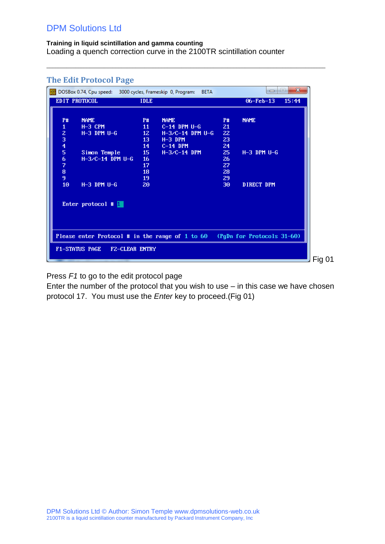#### **Training in liquid scintillation and gamma counting** Loading a quench correction curve in the 2100TR scintillation counter

|                                             | The Edit Protocol Page                                     |             |                    |           | $\mathbf{x}$<br>$\left  \alpha \right $<br>-                               |        |
|---------------------------------------------|------------------------------------------------------------|-------------|--------------------|-----------|----------------------------------------------------------------------------|--------|
| EDIT PROTOCOL                               | DOSBox 0.74, Cpu speed: 3000 cycles, Frameskip 0, Program: | <b>IDLE</b> | <b>BETA</b>        |           | $06 - Feb - 13$<br>15:44                                                   |        |
|                                             |                                                            |             |                    |           |                                                                            |        |
|                                             |                                                            |             |                    |           |                                                                            |        |
| <b>P#</b><br><b>NAME</b>                    |                                                            | <b>P#</b>   | <b>NAME</b>        | <b>P#</b> | <b>NAME</b>                                                                |        |
| $\mathbf{1}$                                | $H-3$ CPM                                                  | 11          | $C-14$ DPM $U-G$   | 21        |                                                                            |        |
|                                             | $H-3$ DPM $U-G$                                            | 12          | $H-3/C-14$ DPM U-G | 22        |                                                                            |        |
| $\begin{bmatrix} 2 \\ 3 \\ 4 \end{bmatrix}$ |                                                            | 13          | $H-3$ DPM          | 23        |                                                                            |        |
|                                             |                                                            | 14          | $C-14$ DPM         | 24        |                                                                            |        |
| 5                                           | Simon Temple                                               | 15          | $H-3/C-14$ DPM     | 25        | $H-3$ DPM $U-G$                                                            |        |
| 6                                           | $H-3/C-14$ DPM U-G                                         | 16          |                    | 26        |                                                                            |        |
| 7                                           |                                                            | 17          |                    | 27        |                                                                            |        |
| 8                                           |                                                            | 18          |                    | 28        |                                                                            |        |
| 9                                           |                                                            | 19          |                    | 29        |                                                                            |        |
| 10 <sup>°</sup>                             | $H-3$ DPM $U-G$                                            | 20          |                    | 30        | <b>DIRECT DPM</b>                                                          |        |
|                                             |                                                            |             |                    |           |                                                                            |        |
|                                             |                                                            |             |                    |           |                                                                            |        |
|                                             | Enter protocol $\#$                                        |             |                    |           |                                                                            |        |
|                                             |                                                            |             |                    |           |                                                                            |        |
|                                             |                                                            |             |                    |           |                                                                            |        |
|                                             |                                                            |             |                    |           |                                                                            |        |
|                                             |                                                            |             |                    |           |                                                                            |        |
|                                             |                                                            |             |                    |           | Please enter Protocol # in the range of 1 to 60 (PgDn for Protocols 31-60) |        |
|                                             |                                                            |             |                    |           |                                                                            |        |
| F1-STATUS PAGE                              | FZ-CLEAR ENTRY                                             |             |                    |           |                                                                            |        |
|                                             |                                                            |             |                    |           |                                                                            | Fig 01 |
|                                             |                                                            |             |                    |           |                                                                            |        |

 $\_$  ,  $\_$  ,  $\_$  ,  $\_$  ,  $\_$  ,  $\_$  ,  $\_$  ,  $\_$  ,  $\_$  ,  $\_$  ,  $\_$  ,  $\_$  ,  $\_$  ,  $\_$  ,  $\_$  ,  $\_$  ,  $\_$  ,  $\_$  ,  $\_$  ,  $\_$  ,  $\_$  ,  $\_$  ,  $\_$  ,  $\_$  ,  $\_$  ,  $\_$  ,  $\_$  ,  $\_$  ,  $\_$  ,  $\_$  ,  $\_$  ,  $\_$  ,  $\_$  ,  $\_$  ,  $\_$  ,  $\_$  ,  $\_$  ,

### <span id="page-1-0"></span>**The Edit Protocol Page**

Press *F1* to go to the edit protocol page

Enter the number of the protocol that you wish to use – in this case we have chosen protocol 17. You must use the *Enter* key to proceed.(Fig 01)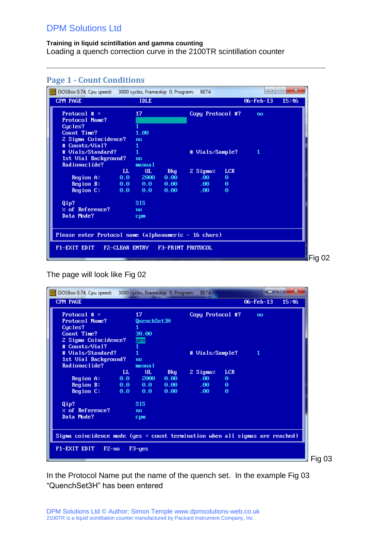| Page 1 - Count Conditions                                                                            |                                  |                            |                                |                             |                 |                                |
|------------------------------------------------------------------------------------------------------|----------------------------------|----------------------------|--------------------------------|-----------------------------|-----------------|--------------------------------|
| DOSBox 0.74, Cpu speed: 3000 cycles, Frameskip 0, Program:                                           |                                  |                            | <b>BETA</b>                    |                             | 0               | $\mathbf{x}$<br>$\blacksquare$ |
| <b>CPM PAGE</b>                                                                                      | <b>IDLE</b>                      |                            |                                |                             | $06 - Feb - 13$ | 15:46                          |
| Protocol $# =$<br>Protocol Name?<br>Cycles?<br>Count Time?<br>2 Sigma Coincidence?<br># Counts/Vial? | 17<br>1.00<br>no<br>1            |                            | Copy Protocol #?               |                             | no              |                                |
| # Uials/Standard?<br>1st Uial Background?<br>Radionuclide?                                           | $\mathbf{1}$<br>no<br>manual     |                            | # Vials/Sample?                |                             | 1               |                                |
| Region A:<br>Region B: $0.0$ 0.0                                                                     | UL.<br>LL<br>$0.0$ 2000          | <b>Bkg</b><br>0.00<br>0.00 | 2 Sigmaz<br>$.00 -$<br>$.00 -$ | <b>LCR</b><br>Θ<br>$\theta$ |                 |                                |
| Region C:                                                                                            | 0.0 0.0                          | 0.00                       | $.00 -$                        | $\Theta$                    |                 |                                |
| Qip?<br>$\boldsymbol{\times}$ of Reference?<br>Data Mode?                                            | <b>SIS</b><br>no<br>cpm          |                            |                                |                             |                 |                                |
| Please enter Protocol name (alphanumeric - 16 chars)                                                 |                                  |                            |                                |                             |                 |                                |
| F1-EXIT EDIT                                                                                         | FZ-CLEAR ENTRY F3-PRINT PROTOCOL |                            |                                |                             |                 |                                |
|                                                                                                      |                                  |                            |                                |                             |                 |                                |

 $\_$  ,  $\_$  ,  $\_$  ,  $\_$  ,  $\_$  ,  $\_$  ,  $\_$  ,  $\_$  ,  $\_$  ,  $\_$  ,  $\_$  ,  $\_$  ,  $\_$  ,  $\_$  ,  $\_$  ,  $\_$  ,  $\_$  ,  $\_$  ,  $\_$  ,  $\_$  ,  $\_$  ,  $\_$  ,  $\_$  ,  $\_$  ,  $\_$  ,  $\_$  ,  $\_$  ,  $\_$  ,  $\_$  ,  $\_$  ,  $\_$  ,  $\_$  ,  $\_$  ,  $\_$  ,  $\_$  ,  $\_$  ,  $\_$  ,

# <span id="page-2-0"></span>**Page 1** Count Conditions

The page will look like Fig 02

| DOSBox 0.74, Cpu speed: 3000 cycles, Frameskip 0, Program:                   |         |             |            | <b>BETA</b>      |            |                 | $\mathbf{x}$ |
|------------------------------------------------------------------------------|---------|-------------|------------|------------------|------------|-----------------|--------------|
| <b>CPM PAGE</b>                                                              |         |             |            |                  |            | $06 - Feb - 13$ | 15:46        |
| Protocol $# =$                                                               |         | 17          |            | Copy Protocol #? |            | no              |              |
| Protocol Name?                                                               |         | QuenchSet3H |            |                  |            |                 |              |
| Cucles?                                                                      |         |             |            |                  |            |                 |              |
| Count Time?                                                                  |         | 30.00       |            |                  |            |                 |              |
| 2 Sigma Coincidence?                                                         |         | yes         |            |                  |            |                 |              |
| # Counts/Uial?                                                               |         |             |            |                  |            |                 |              |
| # Uials/Standard?                                                            |         |             |            | # Vials/Sample?  |            | 1               |              |
| 1st Vial Background?                                                         |         | no          |            |                  |            |                 |              |
| Radionuclide?                                                                |         | manual      |            |                  |            |                 |              |
|                                                                              | LL      | UL.         | <b>Bkg</b> | 2 Sigmaz         | <b>LCR</b> |                 |              |
| Region A:                                                                    | 0.0     | 2000        | 0.00       | .00.             | Θ          |                 |              |
| Region B:                                                                    | 0.0     | 0.0         | 0.00       | $.60 -$          | $\theta$   |                 |              |
| Region C:                                                                    | 0.0     | 0.0         | 0.00       | .00 <sub>1</sub> | $\theta$   |                 |              |
| Qip?                                                                         |         | <b>SIS</b>  |            |                  |            |                 |              |
| $\boldsymbol{\times}$ of Reference?                                          |         | no          |            |                  |            |                 |              |
| Data Mode?                                                                   |         | cpm         |            |                  |            |                 |              |
|                                                                              |         |             |            |                  |            |                 |              |
|                                                                              |         |             |            |                  |            |                 |              |
| Sigma coincidence mode (yes = count termination when all sigmas are reached) |         |             |            |                  |            |                 |              |
| F1-EXIT EDIT                                                                 | $F2-no$ | $F3$ -yes   |            |                  |            |                 |              |
|                                                                              |         |             |            |                  |            |                 |              |
|                                                                              |         |             |            |                  |            |                 |              |

In the Protocol Name put the name of the quench set. In the example Fig 03 "QuenchSet3H" has been entered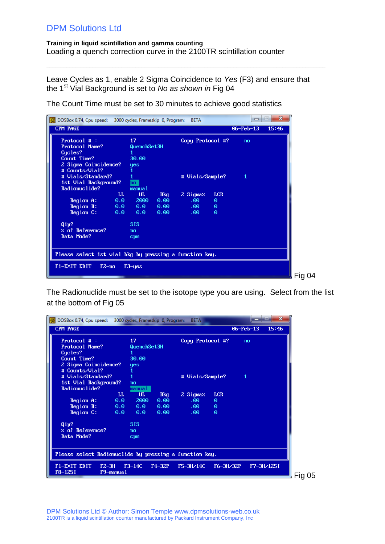**Training in liquid scintillation and gamma counting** Loading a quench correction curve in the 2100TR scintillation counter

Leave Cycles as 1, enable 2 Sigma Coincidence to *Yes* (F3) and ensure that the 1st Vial Background is set to *No as shown in* Fig 04

 $\_$  ,  $\_$  ,  $\_$  ,  $\_$  ,  $\_$  ,  $\_$  ,  $\_$  ,  $\_$  ,  $\_$  ,  $\_$  ,  $\_$  ,  $\_$  ,  $\_$  ,  $\_$  ,  $\_$  ,  $\_$  ,  $\_$  ,  $\_$  ,  $\_$  ,  $\_$  ,  $\_$  ,  $\_$  ,  $\_$  ,  $\_$  ,  $\_$  ,  $\_$  ,  $\_$  ,  $\_$  ,  $\_$  ,  $\_$  ,  $\_$  ,  $\_$  ,  $\_$  ,  $\_$  ,  $\_$  ,  $\_$  ,  $\_$  ,

The Count Time must be set to 30 minutes to achieve good statistics

| DOSBox 0.74, Cpu speed: 3000 cycles, Frameskip 0, Program:                                                  |                                                                     | <b>BETA</b>                                                                                       | $\mathbf{x}$<br>$\Box$   |
|-------------------------------------------------------------------------------------------------------------|---------------------------------------------------------------------|---------------------------------------------------------------------------------------------------|--------------------------|
| <b>CPM PAGE</b>                                                                                             |                                                                     |                                                                                                   | $06 - Feb - 13$<br>15:46 |
| Protocol $# =$<br><b>Protocol Name?</b><br>Cycles?<br>Count Time?<br>2 Sigma Coincidence?<br># Counts/Vial? | 17<br>QuenchSet3H<br>30.00<br>yes                                   | Copy Protocol #?                                                                                  | no                       |
| # Uials/Standard?<br>1st Vial Background?<br>Radionuclide?<br>LL.                                           | mo<br>manual                                                        | # Vials/Sample?                                                                                   | 1                        |
| 0.0<br>Region A:<br>Region B:<br>$0.0 -$<br>Region C:<br>0.0                                                | UL.<br><b>Bkg</b><br>0.00<br>2000<br>$0.0 -$<br>0.00<br>0.0<br>0.00 | 2 Sigmaz<br><b>LCR</b><br>.00.<br>$\Theta$<br>$.00 -$<br>$\Theta$<br>$\Theta$<br>.60 <sub>1</sub> |                          |
| Qip?<br>$%$ of Reference?<br>Data Mode?                                                                     | <b>SIS</b><br>no<br>cpm                                             |                                                                                                   |                          |
| Please select 1st vial bkg by pressing a function key.<br>F1-EXIT EDIT<br>$F2-no$                           | $F3 - yes$                                                          |                                                                                                   |                          |

The Radionuclide must be set to the isotope type you are using. Select from the list at the bottom of Fig 05

| DOSBox 0.74, Cpu speed: 3000 cycles, Frameskip 0, Program: |           |             |          | <b>BETA</b>      |            |                 |            | $\mathbf{x}$ |
|------------------------------------------------------------|-----------|-------------|----------|------------------|------------|-----------------|------------|--------------|
| CPM PAGE                                                   |           |             |          |                  |            | $06 - Feb - 13$ | 15:46      |              |
| Protocol $# =$                                             |           | 17          |          | Copy Protocol #? |            | no              |            |              |
| Protocol Name?                                             |           | QuenchSet3H |          |                  |            |                 |            |              |
| Cucles?                                                    |           |             |          |                  |            |                 |            |              |
| Count Time?                                                |           | 30.00       |          |                  |            |                 |            |              |
| 2 Sigma Coincidence?                                       |           | yes         |          |                  |            |                 |            |              |
| # Counts/Vial?                                             |           |             |          |                  |            |                 |            |              |
| # Uials/Standard?                                          |           |             |          | # Vials/Sample?  |            | -1              |            |              |
| 1st Vial Background?                                       |           | no          |          |                  |            |                 |            |              |
| Radionuclide?                                              |           | manual a    |          |                  |            |                 |            |              |
|                                                            | LL.       | <b>UL</b>   | Bkg      | 2 Sigmaz         | <b>LCR</b> |                 |            |              |
| Region A:                                                  | 0.0       | 2000        | 0.00     | .00.             | $\Theta$   |                 |            |              |
| Region B:                                                  | 0.0       | 0.0         | 0.00     | .00 <sub>1</sub> | $\Theta$   |                 |            |              |
| Region C:                                                  | 0.0       | 0.0         | 0.00     | .00 <sub>1</sub> | $\Theta$   |                 |            |              |
| Qip?                                                       |           | <b>SIS</b>  |          |                  |            |                 |            |              |
| % of Reference?                                            |           | no          |          |                  |            |                 |            |              |
| Data Mode?                                                 |           | cpm         |          |                  |            |                 |            |              |
|                                                            |           |             |          |                  |            |                 |            |              |
| Please select Radionuclide by pressing a function key.     |           |             |          |                  |            |                 |            |              |
| F1-EXIT EDIT<br>$FZ - 3H$<br>F8-125I                       | F9-manual | $F3-14C$    | $F4-32P$ | $F5 - 3H / 14C$  | F6-3H/32P  |                 | F7-3H/1251 |              |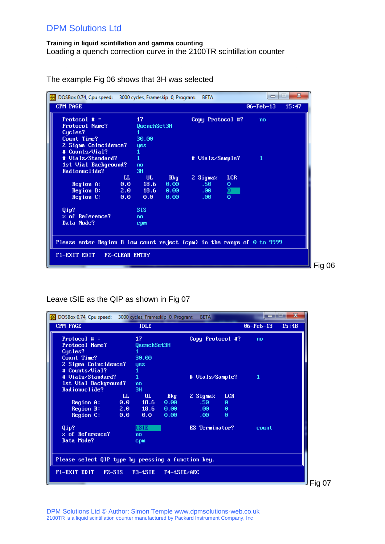### **Training in liquid scintillation and gamma counting** Loading a quench correction curve in the 2100TR scintillation counter

 $\_$  ,  $\_$  ,  $\_$  ,  $\_$  ,  $\_$  ,  $\_$  ,  $\_$  ,  $\_$  ,  $\_$  ,  $\_$  ,  $\_$  ,  $\_$  ,  $\_$  ,  $\_$  ,  $\_$  ,  $\_$  ,  $\_$  ,  $\_$  ,  $\_$  ,  $\_$  ,  $\_$  ,  $\_$  ,  $\_$  ,  $\_$  ,  $\_$  ,  $\_$  ,  $\_$  ,  $\_$  ,  $\_$  ,  $\_$  ,  $\_$  ,  $\_$  ,  $\_$  ,  $\_$  ,  $\_$  ,  $\_$  ,  $\_$  ,

| DOSBox 0.74, Cpu speed: 3000 cycles, Frameskip 0, Program:             |                       |             |      | <b>BETA</b>      |                | ᆷ               | Ж<br>l۳ |
|------------------------------------------------------------------------|-----------------------|-------------|------|------------------|----------------|-----------------|---------|
| <b>CPM PAGE</b>                                                        |                       |             |      |                  |                | $06 - Feb - 13$ | 15:47   |
| Protocol $# =$                                                         |                       | 17          |      | Copy Protocol #? |                | no              |         |
| <b>Protocol Name?</b>                                                  |                       | QuenchSet3H |      |                  |                |                 |         |
| Cucles?                                                                |                       |             |      |                  |                |                 |         |
| Count Time?                                                            |                       | 30.00       |      |                  |                |                 |         |
| 2 Sigma Coincidence?                                                   |                       | yes         |      |                  |                |                 |         |
| # Counts/Vial?                                                         |                       | 1           |      |                  |                |                 |         |
| # Uials/Standard?                                                      |                       | 1           |      | # Vials/Sample?  |                | 1               |         |
| 1st Vial Background?                                                   |                       | no          |      |                  |                |                 |         |
| Radionuclide?                                                          |                       | 3H          |      |                  |                |                 |         |
|                                                                        | LL                    | UL.         | Bkg  | 2 Sigmaz         | <b>LCR</b>     |                 |         |
| Region A:                                                              |                       | $0.0$ 18.6  | 0.00 | .50 <sub>1</sub> | Θ              |                 |         |
| Region B: $2.0$ 18.6                                                   |                       |             | 0.00 | .00 <sub>1</sub> | $\frac{1}{10}$ |                 |         |
| Region C:                                                              | 0.0                   | $0.0 -$     | 0.00 | .00 <sub>1</sub> |                |                 |         |
| Qip?                                                                   |                       | <b>SIS</b>  |      |                  |                |                 |         |
| $\times$ of Reference?                                                 |                       | no          |      |                  |                |                 |         |
| Data Mode?                                                             |                       | cpm         |      |                  |                |                 |         |
|                                                                        |                       |             |      |                  |                |                 |         |
| Please enter Region B low count reject (cpm) in the range of 0 to 9999 |                       |             |      |                  |                |                 |         |
|                                                                        |                       |             |      |                  |                |                 |         |
| F1-EXIT EDIT                                                           | <b>FZ-CLEAR ENTRY</b> |             |      |                  |                |                 |         |
|                                                                        |                       |             |      |                  |                |                 |         |

The example Fig 06 shows that 3H was selected

Leave tSIE as the QIP as shown in Fig 07

| DOSBox 0.74, Cpu speed: 3000 cycles, Frameskip 0, Program: |         |             |             | <b>BETA</b>      |            |                 | $\overline{\mathbf{x}}$ |
|------------------------------------------------------------|---------|-------------|-------------|------------------|------------|-----------------|-------------------------|
| <b>CPM PAGE</b>                                            |         | <b>IDLE</b> |             |                  |            | $06 - Feb - 13$ | 15:48                   |
| Protocol # $=$                                             |         | 17          |             | Copy Protocol #? |            | no              |                         |
| Protocol Name?                                             |         | QuenchSet3H |             |                  |            |                 |                         |
| Cucles?                                                    |         |             |             |                  |            |                 |                         |
| Count Time?                                                |         | 30.00       |             |                  |            |                 |                         |
| 2 Sigma Coincidence?                                       |         | <b>yes</b>  |             |                  |            |                 |                         |
| # Counts/Vial?                                             |         |             |             |                  |            |                 |                         |
| # Uials/Standard?                                          |         | 1           |             | # Vials/Sample?  |            | 1               |                         |
| 1st Uial Background?                                       |         | no          |             |                  |            |                 |                         |
| Radionuclide?                                              |         | 3H          |             |                  |            |                 |                         |
|                                                            | LL      | UL.         | Bkg         | 2 Sigmaz.        | <b>LCR</b> |                 |                         |
| Region A:                                                  | $0.0 -$ | 18.6        | 0.00        | .50 <sub>1</sub> | $\Theta$   |                 |                         |
| Region B:                                                  |         | $2.0$ 18.6  | 0.00        | $.00 -$          | $\Theta$   |                 |                         |
| Region C:                                                  | 0.0     | $0.0 -$     | 0.00        | .00 <sub>1</sub> | $\Theta$   |                 |                         |
| Qip?                                                       |         | tsie        |             | ES Terminator?   |            | count           |                         |
| $%$ of Reference?                                          |         | no          |             |                  |            |                 |                         |
| Data Mode?                                                 |         | cpm         |             |                  |            |                 |                         |
|                                                            |         |             |             |                  |            |                 |                         |
| Please select QIP type by pressing a function key.         |         |             |             |                  |            |                 |                         |
|                                                            |         |             |             |                  |            |                 |                         |
| F1-EXIT EDIT<br>$FZ-SIS$                                   |         | $F3-tSIE$   | F4-tSIE/AEC |                  |            |                 |                         |
|                                                            |         |             |             |                  |            |                 |                         |
|                                                            |         |             |             |                  |            |                 |                         |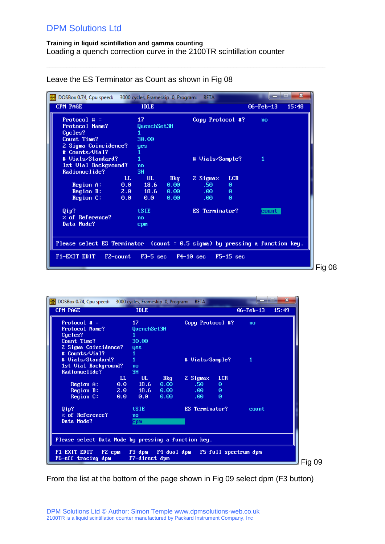$\_$  ,  $\_$  ,  $\_$  ,  $\_$  ,  $\_$  ,  $\_$  ,  $\_$  ,  $\_$  ,  $\_$  ,  $\_$  ,  $\_$  ,  $\_$  ,  $\_$  ,  $\_$  ,  $\_$  ,  $\_$  ,  $\_$  ,  $\_$  ,  $\_$  ,  $\_$  ,  $\_$  ,  $\_$  ,  $\_$  ,  $\_$  ,  $\_$  ,  $\_$  ,  $\_$  ,  $\_$  ,  $\_$  ,  $\_$  ,  $\_$  ,  $\_$  ,  $\_$  ,  $\_$  ,  $\_$  ,  $\_$  ,  $\_$  ,

| DOSBox 0.74, Cpu speed: 3000 cycles, Frameskip 0, Program:<br>CPM PAGE      |             | <b>IDLE</b>        |              | <b>BETA</b>            |             | $06 - Feb - 13$ | $\mathbf{x}$<br>15:48 |
|-----------------------------------------------------------------------------|-------------|--------------------|--------------|------------------------|-------------|-----------------|-----------------------|
| Protocol $# =$                                                              |             | 17                 |              | Copy Protocol #?       |             | no              |                       |
| Protocol Name?<br>Cycles?                                                   |             | QuenchSet3H        |              |                        |             |                 |                       |
| Count Time?<br>2 Sigma Coincidence?                                         |             | 30.00<br>yes       |              |                        |             |                 |                       |
| # Counts/Vial?<br># Uials/Standard?                                         |             | 1                  |              |                        |             | 1               |                       |
| 1st Uial Background?                                                        |             | no                 |              | # Vials/Sample?        |             |                 |                       |
| Radionuclide?                                                               | $_{\rm LL}$ | 3H<br>UL.          | <b>Bkg</b>   | 2 Sigmaz               | <b>LCR</b>  |                 |                       |
| Region A:<br>Region B:                                                      | 0.0         | 18.6<br>$2.0$ 18.6 | 0.00<br>0.00 | .50<br>$.00 -$         | Θ<br>Θ      |                 |                       |
| Region C:                                                                   | 0.0         | 0.0                | 0.00         | .00 <sub>1</sub>       | $\Theta$    |                 |                       |
| Qip?                                                                        |             | <b>tSIE</b>        |              | ES Terminator?         |             | count           |                       |
| $\times$ of Reference?<br>Data Mode?                                        |             | no<br><b>Cpm</b>   |              |                        |             |                 |                       |
|                                                                             |             |                    |              |                        |             |                 |                       |
| Please select ES Terminator (count = 0.5 sigma) by pressing a function key. |             |                    |              |                        |             |                 |                       |
| F1-EXIT EDIT<br>F2-count                                                    |             |                    |              | $F3-5$ sec $F4-10$ sec | $F5-15$ sec |                 |                       |
|                                                                             |             |                    |              |                        |             |                 |                       |

### Leave the ES Terminator as Count as shown in Fig 08

| DOSBox 0.74, Cpu speed: 3000 cycles, Frameskip 0, Program: |                |                                     |              | <b>BETA</b>                          |               |                      | $\mathbf x$ |
|------------------------------------------------------------|----------------|-------------------------------------|--------------|--------------------------------------|---------------|----------------------|-------------|
| <b>CPM PAGE</b>                                            |                | <b>IDLE</b>                         |              |                                      |               | $06 - Feb - 13$      | 15:49       |
| Protocol $# =$<br>Protocol Name?                           |                | 17<br>QuenchSet3H                   |              | Copy Protocol #?                     |               | no                   |             |
| Cucles?                                                    |                |                                     |              |                                      |               |                      |             |
| Count Time?<br>2 Sigma Coincidence?                        |                | 30.00<br>yes                        |              |                                      |               |                      |             |
| # Counts/Vial?                                             |                | 1                                   |              |                                      |               |                      |             |
| # Uials/Standard?<br>1st Vial Background?                  |                | $\mathbf{1}$<br>no                  |              | # Vials/Sample?                      |               | 1                    |             |
| Radionuclide?                                              |                | 3H                                  |              |                                      |               |                      |             |
|                                                            | LL             | UL.                                 | <b>Bkg</b>   | 2 Sigmaz                             | <b>LCR</b>    |                      |             |
| Region A:<br>Region B:                                     | 0.0<br>$2.0 -$ | 18.6<br>18.6                        | 0.00<br>0.00 | .50 <sub>1</sub><br>.00 <sub>1</sub> | Θ<br>$\Theta$ |                      |             |
| Region C:                                                  | 0.0            | $0.0 -$                             | 0.00         | .00 <sub>1</sub>                     | Θ             |                      |             |
| Qip?<br>$\times$ of Reference?                             |                | tSIE<br>no                          |              | ES Terminator?                       |               | count                |             |
| Data Mode?                                                 |                | cpm                                 |              |                                      |               |                      |             |
| Please select Data Mode by pressing a function key.        |                |                                     |              |                                      |               |                      |             |
|                                                            |                |                                     |              |                                      |               |                      |             |
| F1-EXIT EDIT<br>$F2$ -cpm<br>F6-eff tracing dpm            |                | F3-dpm F4-dual dpm<br>F7-direct dpm |              |                                      |               | F5-full spectrum dpm |             |
|                                                            |                |                                     |              |                                      |               |                      |             |

From the list at the bottom of the page shown in Fig 09 select dpm (F3 button)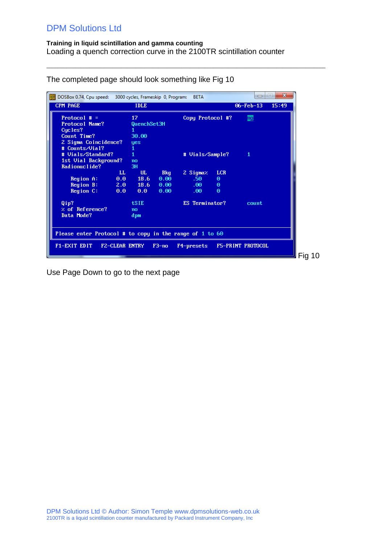#### **Training in liquid scintillation and gamma counting** Loading a quench correction curve in the 2100TR scintillation counter

 $\_$  ,  $\_$  ,  $\_$  ,  $\_$  ,  $\_$  ,  $\_$  ,  $\_$  ,  $\_$  ,  $\_$  ,  $\_$  ,  $\_$  ,  $\_$  ,  $\_$  ,  $\_$  ,  $\_$  ,  $\_$  ,  $\_$  ,  $\_$  ,  $\_$  ,  $\_$  ,  $\_$  ,  $\_$  ,  $\_$  ,  $\_$  ,  $\_$  ,  $\_$  ,  $\_$  ,  $\_$  ,  $\_$  ,  $\_$  ,  $\_$  ,  $\_$  ,  $\_$  ,  $\_$  ,  $\_$  ,  $\_$  ,  $\_$  ,

| <b>POS</b><br>DOSBox 0.74, Cpu speed: 3000 cycles, Frameskip 0, Program: |                       |             |         | <b>BETA</b>      |            | $\Box$            | $\mathbf{x}$<br>l. |
|--------------------------------------------------------------------------|-----------------------|-------------|---------|------------------|------------|-------------------|--------------------|
| <b>CPM PAGE</b>                                                          |                       | <b>IDLE</b> |         |                  |            | $06 - Feb - 13$   | 15:49              |
| Protocol $# =$                                                           |                       | 17          |         | Copy Protocol #? |            | <b>no</b>         |                    |
| Protocol Name?                                                           |                       | QuenchSet3H |         |                  |            |                   |                    |
| Cucles?                                                                  |                       |             |         |                  |            |                   |                    |
| Count Time?                                                              |                       | 30.00       |         |                  |            |                   |                    |
| 2 Sigma Coincidence?                                                     |                       | <b>yes</b>  |         |                  |            |                   |                    |
| # Counts/Uial?                                                           |                       | 1           |         |                  |            |                   |                    |
| # Uials/Standard?                                                        |                       |             |         | # Vials/Sample?  |            | 1                 |                    |
| 1st Vial Background?                                                     |                       | no          |         |                  |            |                   |                    |
| Radionuclide?                                                            |                       | 3H          |         |                  |            |                   |                    |
|                                                                          | LL                    | UL.         | Bkg     | 2 Sigmaz         | <b>LCR</b> |                   |                    |
| Region A:                                                                | 0.0                   | 18.6        | 0.00    | .50              | Θ          |                   |                    |
| Region B:                                                                | 2.0                   | 18.6        | 0.00    | .00.             | $\Theta$   |                   |                    |
| Region C:                                                                | 0.0                   | 0.0         | 0.00    | .00.             | $\Theta$   |                   |                    |
| Qip?                                                                     |                       | <b>tSIE</b> |         | ES Terminator?   |            | count             |                    |
| $\times$ of Reference?                                                   |                       | no          |         |                  |            |                   |                    |
| Data Mode?                                                               |                       | dpm         |         |                  |            |                   |                    |
|                                                                          |                       |             |         |                  |            |                   |                    |
|                                                                          |                       |             |         |                  |            |                   |                    |
| Please enter Protocol # to copy in the range of 1 to 60                  |                       |             |         |                  |            |                   |                    |
| F1-EXIT EDIT                                                             | <b>FZ-CLEAR ENTRY</b> |             | $F3-no$ | F4-presets       |            | F5-PRINT PROTOCOL |                    |
|                                                                          |                       |             |         |                  |            |                   |                    |
|                                                                          |                       |             |         |                  |            |                   |                    |

The completed page should look something like Fig 10

Use Page Down to go to the next page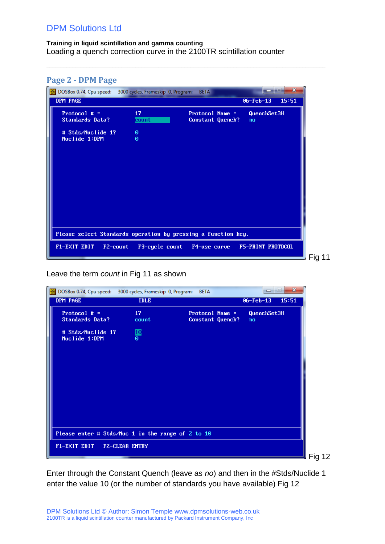<span id="page-7-0"></span>

| <b>Page 2 - DPM Page</b>                                                        |                      |                                       |                              |        |
|---------------------------------------------------------------------------------|----------------------|---------------------------------------|------------------------------|--------|
| $\frac{pos}{pos}$<br>DOSBox 0.74, Cpu speed: 3000 cycles, Frameskip 0, Program: |                      | <b>BETA</b>                           | $\mathbf x$<br><b>Second</b> |        |
| DPM PAGE                                                                        |                      |                                       | $06 - Feb - 13$<br>15:51     |        |
| Protocol $# =$<br><b>Standards Data?</b>                                        | 17<br>count          | Protocol Name $=$<br>Constant Quench? | QuenchSet3H<br>no            |        |
| # Stds/Nuclide 1?<br>Nuclide 1:DPM                                              | $\Theta$<br>$\Theta$ |                                       |                              |        |
|                                                                                 |                      |                                       |                              |        |
| Please select Standards operation by pressing a function key.                   |                      |                                       |                              |        |
| F1-EXIT EDIT<br>F2-count                                                        | F3-cycle count       | F4-use curve                          | F5-PRINT PROTOCOL            | Fig 11 |

 $\_$  ,  $\_$  ,  $\_$  ,  $\_$  ,  $\_$  ,  $\_$  ,  $\_$  ,  $\_$  ,  $\_$  ,  $\_$  ,  $\_$  ,  $\_$  ,  $\_$  ,  $\_$  ,  $\_$  ,  $\_$  ,  $\_$  ,  $\_$  ,  $\_$  ,  $\_$  ,  $\_$  ,  $\_$  ,  $\_$  ,  $\_$  ,  $\_$  ,  $\_$  ,  $\_$  ,  $\_$  ,  $\_$  ,  $\_$  ,  $\_$  ,  $\_$  ,  $\_$  ,  $\_$  ,  $\_$  ,  $\_$  ,  $\_$  ,

Leave the term *count* in Fig 11 as shown

| DOSBox 0.74, Cpu speed: 3000 cycles, Frameskip 0, Program: |                          | <b>BETA</b>                           | $\Box$            | $\mathbf{x}$ |
|------------------------------------------------------------|--------------------------|---------------------------------------|-------------------|--------------|
| DPM PAGE                                                   | <b>IDLE</b>              |                                       | $06 - Feb - 13$   | 15:51        |
| Protocol $# =$<br><b>Standards Data?</b>                   | 17 <sub>z</sub><br>count | Protocol Name $=$<br>Constant Quench? | QuenchSet3H<br>no |              |
| # Stds/Nuclide 1?<br>Nuclide 1:DPM                         | $\frac{10}{9}$           |                                       |                   |              |
|                                                            |                          |                                       |                   |              |
| Please enter # Stds/Nuc 1 in the range of 2 to 10          |                          |                                       |                   |              |
| F1-EXIT EDIT F2-CLEAR ENTRY                                |                          |                                       |                   |              |

Enter through the Constant Quench (leave as *no*) and then in the #Stds/Nuclide 1 enter the value 10 (or the number of standards you have available) Fig 12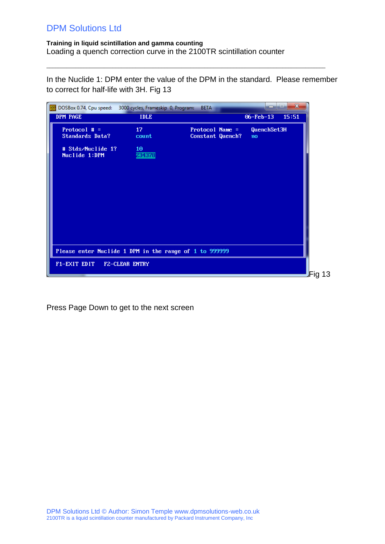#### **Training in liquid scintillation and gamma counting** Loading a quench correction curve in the 2100TR scintillation counter

In the Nuclide 1: DPM enter the value of the DPM in the standard. Please remember to correct for half-life with 3H. Fig 13

 $\_$  ,  $\_$  ,  $\_$  ,  $\_$  ,  $\_$  ,  $\_$  ,  $\_$  ,  $\_$  ,  $\_$  ,  $\_$  ,  $\_$  ,  $\_$  ,  $\_$  ,  $\_$  ,  $\_$  ,  $\_$  ,  $\_$  ,  $\_$  ,  $\_$  ,  $\_$  ,  $\_$  ,  $\_$  ,  $\_$  ,  $\_$  ,  $\_$  ,  $\_$  ,  $\_$  ,  $\_$  ,  $\_$  ,  $\_$  ,  $\_$  ,  $\_$  ,  $\_$  ,  $\_$  ,  $\_$  ,  $\_$  ,  $\_$  ,

| <b>POS</b><br>DOSBox 0.74, Cpu speed: 3000 cycles, Frameskip 0, Program: |              | <b>BETA</b>                         | $\overline{\phantom{0}}$ | $\mathbf{x}$<br>ادا |
|--------------------------------------------------------------------------|--------------|-------------------------------------|--------------------------|---------------------|
| DPM PAGE                                                                 | <b>IDLE</b>  |                                     | $06 - Feb - 13$          | 15:51               |
| Protocol $# =$<br><b>Standards Data?</b>                                 | 17<br>count  | Protocol Name =<br>Constant Quench? | QuenchSet3H<br>no        |                     |
| # Stds/Nuclide 1?<br>Nuclide 1:DPM                                       | 10<br>234378 |                                     |                          |                     |
| Please enter Nuclide 1 DPM in the range of 1 to 999999                   |              |                                     |                          |                     |
| F1-EXIT EDIT F2-CLEAR ENTRY                                              |              |                                     |                          | Fig 13              |

Press Page Down to get to the next screen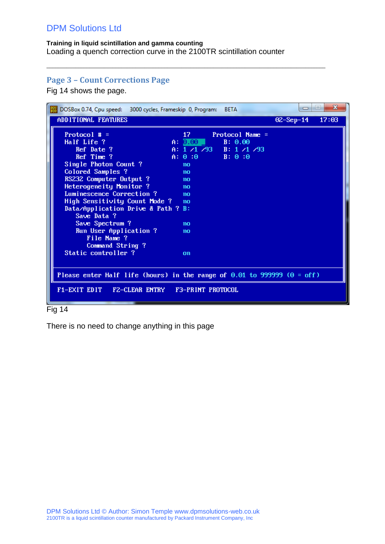### **Training in liquid scintillation and gamma counting** Loading a quench correction curve in the 2100TR scintillation counter

 $\_$  ,  $\_$  ,  $\_$  ,  $\_$  ,  $\_$  ,  $\_$  ,  $\_$  ,  $\_$  ,  $\_$  ,  $\_$  ,  $\_$  ,  $\_$  ,  $\_$  ,  $\_$  ,  $\_$  ,  $\_$  ,  $\_$  ,  $\_$  ,  $\_$  ,  $\_$  ,  $\_$  ,  $\_$  ,  $\_$  ,  $\_$  ,  $\_$  ,  $\_$  ,  $\_$  ,  $\_$  ,  $\_$  ,  $\_$  ,  $\_$  ,  $\_$  ,  $\_$  ,  $\_$  ,  $\_$  ,  $\_$  ,  $\_$  ,

### <span id="page-9-0"></span>**Page 3 – Count Corrections Page**

Fig 14 shows the page.

| DOSBox 0.74, Cpu speed: 3000 cycles, Frameskip 0, Program:                    |                   | <b>BETA</b>             | $\Box$      | $\mathbf{x}$<br><b>Imi</b> |
|-------------------------------------------------------------------------------|-------------------|-------------------------|-------------|----------------------------|
| ADDITIONAL FEATURES                                                           |                   |                         | $OZ-Sep-14$ | 17:03                      |
| Protocol $\#$ =                                                               | 17.               | Protocol Name =         |             |                            |
| Half Life ?                                                                   | A: 0.00           | B: 0.00                 |             |                            |
| Ref Date ?                                                                    |                   | A: $1/1/93$ B: $1/1/93$ |             |                            |
| Ref Time ?                                                                    | $A: 0:0$ $B: 0:0$ |                         |             |                            |
| Single Photon Count ?                                                         | no                |                         |             |                            |
| Colored Samples ?                                                             | no                |                         |             |                            |
| RS232 Computer Output ?                                                       | no                |                         |             |                            |
| Heterogeneity Monitor ?                                                       | no                |                         |             |                            |
| Luminescence Correction ?                                                     | no                |                         |             |                            |
| High Sensitivity Count Mode ? no                                              |                   |                         |             |                            |
| Data/Application Drive & Path ? B:<br>Save Data ?                             |                   |                         |             |                            |
| Save Spectrum ?                                                               | n <sub>0</sub>    |                         |             |                            |
| Run User Application ?                                                        | no                |                         |             |                            |
| File Name ?                                                                   |                   |                         |             |                            |
| Command String?                                                               |                   |                         |             |                            |
| Static controller ?                                                           | on                |                         |             |                            |
|                                                                               |                   |                         |             |                            |
|                                                                               |                   |                         |             |                            |
| Please enter Half life (hours) in the range of $0.01$ to 999999 ( $0 = off$ ) |                   |                         |             |                            |
| F1-EXIT EDIT FZ-CLEAR ENTRY F3-PRINT PROTOCOL                                 |                   |                         |             |                            |

#### Fig 14

There is no need to change anything in this page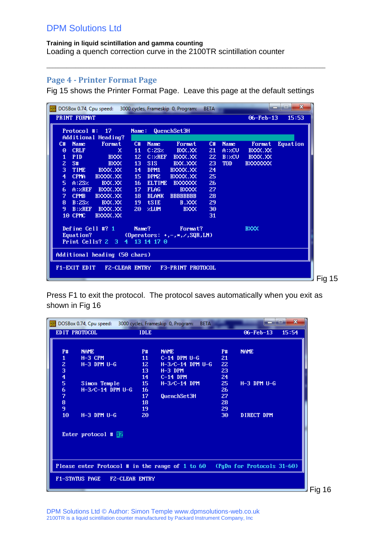### <span id="page-10-0"></span>**Page 4 - Printer Format Page**

Fig 15 shows the Printer Format Page. Leave this page at the default settings

 $\_$  ,  $\_$  ,  $\_$  ,  $\_$  ,  $\_$  ,  $\_$  ,  $\_$  ,  $\_$  ,  $\_$  ,  $\_$  ,  $\_$  ,  $\_$  ,  $\_$  ,  $\_$  ,  $\_$  ,  $\_$  ,  $\_$  ,  $\_$  ,  $\_$  ,  $\_$  ,  $\_$  ,  $\_$  ,  $\_$  ,  $\_$  ,  $\_$  ,  $\_$  ,  $\_$  ,  $\_$  ,  $\_$  ,  $\_$  ,  $\_$  ,  $\_$  ,  $\_$  ,  $\_$  ,  $\_$  ,  $\_$  ,  $\_$  ,

| $\frac{pos}{logn}$                     |        |                                |                 |                  | DOSBox 0.74, Cpu speed: 3000 cycles, Frameskip 0, Program: | <b>BETA</b> |             |                  | $\mathbf{x}$<br>ie. |
|----------------------------------------|--------|--------------------------------|-----------------|------------------|------------------------------------------------------------|-------------|-------------|------------------|---------------------|
| PRINT FORMAT                           |        |                                |                 |                  |                                                            |             |             | $06 - Feb - 13$  | 15:53               |
| Protocol #:                            |        | $-17$                          | Name:           |                  | QuenchSet3H                                                |             |             |                  |                     |
|                                        |        | Additional Heading?            |                 |                  |                                                            |             |             |                  |                     |
| C#<br><b>Name</b>                      |        | Format                         | C#              | <b>Name</b>      | Format                                                     | C#          | <b>Name</b> | Format           | Equation            |
| <b>CRLF</b><br>$\Theta$                |        | ×                              | 11              | C:2SZ            | BXX.XX                                                     | 21          | A:ZCU       | BXXX.XX          |                     |
| <b>PID</b><br>1                        |        | <b>BXXX</b>                    | 12 <sup>2</sup> | C:ZREF           | BXXX.XX                                                    | 22          | B:ZCU       | BXXX.XX          |                     |
| $\overline{z}$<br>S#                   |        | <b>BXXX</b>                    | 13              | SIS:             | BXX.XXX                                                    | 23          | <b>TOD</b>  | <b>BXXXXXXXX</b> |                     |
| 3<br><b>TIME</b>                       |        | BXXX.XX                        | 14              | DPM1             | BXXXX.XX                                                   | 24          |             |                  |                     |
| $\overline{\mathbf{4}}$<br><b>CPMA</b> |        | BXXXX.XX                       | 15 <sub>1</sub> | DPM <sub>2</sub> | BXXXX.XX                                                   | 25          |             |                  |                     |
| 5                                      | A:2SZ  | BXX.XX                         | 16              | <b>ELTIME</b>    | <b>BXXXXXXX</b>                                            | 26          |             |                  |                     |
| 6                                      |        | A: ZREF BXXX.XX                | 17              | <b>FLAG</b>      | <b>BXXXX</b>                                               | 27          |             |                  |                     |
| 7<br><b>CPMB</b>                       |        | BXXXX.XX                       | 18              | <b>BLANK</b>     | <b>BBBBBBBB</b>                                            | 28          |             |                  |                     |
| 8                                      | B:2SZ  | BXX.XX                         | 19              | <b>tSIE</b>      | B.XXX                                                      | 29          |             |                  |                     |
| 9                                      | B:ZREF | BXXX.XX                        | 20              | 2LUM             | <b>BXXX</b>                                                | 30          |             |                  |                     |
| 10 CPMC                                |        | BXXXX.XX                       |                 |                  |                                                            | 31          |             |                  |                     |
|                                        |        | Define Cell #? 1               | Name?           |                  | Format?                                                    |             |             | <b>BXXX</b>      |                     |
| <b>Equation?</b>                       |        |                                |                 |                  | (Operators: $+, -, *, \angle$ , SQR, LN)                   |             |             |                  |                     |
|                                        |        | Print Cells? $2 \quad 3 \quad$ |                 | 4 13 14 17 0     |                                                            |             |             |                  |                     |
|                                        |        | Additional heading (50 chars)  |                 |                  |                                                            |             |             |                  |                     |
| F1-EXIT EDIT                           |        | <b>FZ-CLEAR ENTRY</b>          |                 |                  | F3-PRINT PROTOCOL                                          |             |             |                  |                     |
|                                        |        |                                |                 |                  |                                                            |             |             |                  |                     |
|                                        |        |                                |                 |                  |                                                            |             |             |                  |                     |

Press F1 to exit the protocol. The protocol saves automatically when you exit as shown in Fig 16

| <b>POS</b><br>DOSBox 0.74, Cpu speed: 3000 cycles, Frameskip 0, Program: |                       | <b>BETA</b>        |                 | $\mathbf{x}$               |          |
|--------------------------------------------------------------------------|-----------------------|--------------------|-----------------|----------------------------|----------|
| EDIT PROTOCOL                                                            | <b>IDLE</b>           |                    |                 | $06 - Feb - 13$<br>15:54   |          |
|                                                                          |                       |                    |                 |                            |          |
| <b>P#</b><br><b>NAME</b>                                                 | <b>P#</b>             | <b>NAME</b>        | <b>P#</b>       | <b>NAME</b>                |          |
| $H-3$ CPM<br>1                                                           | 11                    | $C-14$ DPM $U-G$   | 21              |                            |          |
| $H-3$ DPM $U-G$                                                          | 12 <sub>1</sub>       | $H-3/C-14$ DPM U-G | 22              |                            |          |
|                                                                          | 13                    | $H-3$ DPM          | 23              |                            |          |
| $\begin{array}{c}\n 2 \\ 3 \\ 4 \\ 5\n \end{array}$                      | 14                    | $C-14$ DPM         | 24              |                            |          |
| Simon Temple                                                             | 15 <sub>1</sub>       | $H-3/C-14$ DPM     | 25 <sub>1</sub> | $H-3$ DPM $U-G$            |          |
| 6<br>$H-3/C-14$ DPM U-G                                                  | 16                    |                    | 26              |                            |          |
| 7                                                                        | 17                    | QuenchSet3H        | 27              |                            |          |
| $\frac{8}{9}$                                                            | 18                    |                    | 28              |                            |          |
|                                                                          | 19                    |                    | 29              |                            |          |
| 10<br>$H-3$ DPM $U-G$                                                    | 20                    |                    | 30              | DIRECT DPM                 |          |
|                                                                          |                       |                    |                 |                            |          |
|                                                                          |                       |                    |                 |                            |          |
| Enter protocol # $\blacksquare$                                          |                       |                    |                 |                            |          |
|                                                                          |                       |                    |                 |                            |          |
|                                                                          |                       |                    |                 |                            |          |
|                                                                          |                       |                    |                 |                            |          |
|                                                                          |                       |                    |                 |                            |          |
| Please enter Protocol # in the range of 1 to 60                          |                       |                    |                 | (PgDn for Protocols 31-60) |          |
| <b>F1-STATUS PAGE</b>                                                    | <b>FZ-CLEAR ENTRY</b> |                    |                 |                            |          |
|                                                                          |                       |                    |                 |                            | Fig $16$ |
|                                                                          |                       |                    |                 |                            |          |

DPM Solutions Ltd © Author: Simon Temple www.dpmsolutions-web.co.uk 2100TR is a liquid scintillation counter manufactured by Packard Instrument Company, Inc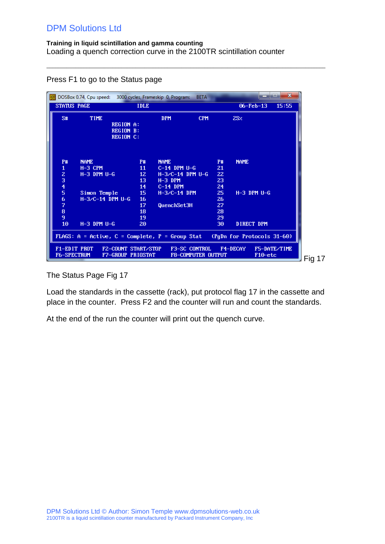$\_$  ,  $\_$  ,  $\_$  ,  $\_$  ,  $\_$  ,  $\_$  ,  $\_$  ,  $\_$  ,  $\_$  ,  $\_$  ,  $\_$  ,  $\_$  ,  $\_$  ,  $\_$  ,  $\_$  ,  $\_$  ,  $\_$  ,  $\_$  ,  $\_$  ,  $\_$  ,  $\_$  ,  $\_$  ,  $\_$  ,  $\_$  ,  $\_$  ,  $\_$  ,  $\_$  ,  $\_$  ,  $\_$  ,  $\_$  ,  $\_$  ,  $\_$  ,  $\_$  ,  $\_$  ,  $\_$  ,  $\_$  ,  $\_$  ,

|                                    | DOSBox 0.74, Cpu speed:                           |                                      |                                          | 3000 cycles, Frameskip 0, Program: | <b>BETA</b>                                       |                 |                                         | $\mathbf{x}$<br>. . |
|------------------------------------|---------------------------------------------------|--------------------------------------|------------------------------------------|------------------------------------|---------------------------------------------------|-----------------|-----------------------------------------|---------------------|
| <b>STATUS PAGE</b>                 |                                                   |                                      | <b>IDLE</b>                              |                                    |                                                   |                 | $06 - Feb - 13$                         | 15:55               |
| S#                                 | <b>TIME</b>                                       | <b>REGION A:</b><br><b>REGION B:</b> |                                          | <b>DPM</b>                         | <b>CPM</b>                                        |                 | 2SZ                                     |                     |
|                                    |                                                   | <b>REGION C:</b>                     |                                          |                                    |                                                   |                 |                                         |                     |
| <b>P#</b>                          | <b>NAME</b>                                       |                                      | <b>P#</b>                                | <b>NAME</b>                        |                                                   | <b>P#</b>       | <b>NAME</b>                             |                     |
| $\mathbf{1}$                       | $H-3$ CPM                                         |                                      | 11                                       | $C-14$ DPM $U-G$                   |                                                   | 21              |                                         |                     |
|                                    | $H-3$ DPM $U-G$                                   |                                      | 12 <sub>z</sub>                          | $H-3/C-14$ DPM U-G                 |                                                   | 22              |                                         |                     |
| $\frac{2}{3}$                      |                                                   |                                      | 13                                       | $H-3$ DPM                          |                                                   | 23              |                                         |                     |
|                                    |                                                   |                                      | 14                                       | $C-14$ DPM                         |                                                   | 24              |                                         |                     |
| 5                                  | Simon Temple                                      |                                      | 15                                       | $H - 3/C - 14$ DPM                 |                                                   | 25 <sub>1</sub> | $H-3$ DPM $U-G$                         |                     |
| 6                                  | $H-3/C-14$ DPM U-G                                |                                      | 16                                       |                                    |                                                   | 26              |                                         |                     |
| 7                                  |                                                   |                                      | 17                                       | QuenchSet3H                        |                                                   | 27              |                                         |                     |
| $\pmb{8}$                          |                                                   |                                      | 18                                       |                                    |                                                   | 28              |                                         |                     |
| 9                                  |                                                   |                                      | 19                                       |                                    |                                                   | 29              |                                         |                     |
| 10                                 | $H-3$ DPM $U-G$                                   |                                      | 20                                       |                                    |                                                   | 30              | DIRECT DPM                              |                     |
|                                    | $FLAGS: A = Active, C = Complete, P = Group Stat$ |                                      |                                          |                                    |                                                   |                 | (PgDn for Protocols 31-60)              |                     |
| F1-EDIT PROT<br><b>F6-SPECTRUM</b> |                                                   |                                      | F2-COUNT START/STOP<br>F7-GROUP PRIOSTAT |                                    | <b>F3-SC CONTROL</b><br><b>F8-COMPUTER OUTPUT</b> |                 | <b>F4-DECAY</b><br>F <sub>10</sub> -etc | F5-DATE/TIME        |

Press F1 to go to the Status page

The Status Page Fig 17

Load the standards in the cassette (rack), put protocol flag 17 in the cassette and place in the counter. Press F2 and the counter will run and count the standards.

At the end of the run the counter will print out the quench curve.